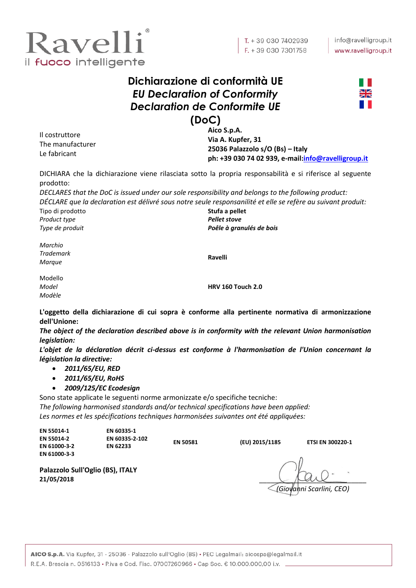

## **Dichiarazione di conformità UE** *EU Declaration of Conformity Declaration de Conformite UE* **(DoC)**



Il costruttore The manufacturer Le fabricant

**Aico S.p.A. Via A. Kupfer, 31 25036 Palazzolo s/O (Bs) – Italy ph: +39 030 74 02 939, e-mail[:info@ravelligroup.it](mailto:info@ravelligroup.it)**

DICHIARA che la dichiarazione viene rilasciata sotto la propria responsabilità e si riferisce al seguente prodotto:

*DECLARES that the DoC is issued under our sole responsibility and belongs to the following product: DÉCLARE que la declaration est délivré sous notre seule responsanilité et elle se refère au suivant produit:*

Tipo di prodotto *Product type Type de produit*

**Stufa a pellet** *Pellet stove Poêle à granulés de bois*

*Marchio Trademark Marque*

**Ravelli**

Modello *Model Modèle*

**HRV 160 Touch 2.0**

**L'oggetto della dichiarazione di cui sopra è conforme alla pertinente normativa di armonizzazione dell'Unione:**

*The object of the declaration described above is in conformity with the relevant Union harmonisation legislation:*

*L'objet de la déclaration décrit ci-dessus est conforme à l'harmonisation de l'Union concernant la législation la directive:*

- *2011/65/EU, RED*
- *2011/65/EU, RoHS*

**Palazzolo Sull'Oglio (BS), ITALY**

*2009/125/EC Ecodesign*

Sono state applicate le seguenti norme armonizzate e/o specifiche tecniche: *The following harmonised standards and/or technical specifications have been applied: Les normes et les spécifications techniques harmonisées suivantes ont été appliquées:*

| EN 55014-1<br><b>EN 55014-2</b> | EN 60335-1<br>EN 60335-2-102 | <b>EN 50581</b> | (EU) 2015/1185 | <b>ETSI EN 300220-1</b> |
|---------------------------------|------------------------------|-----------------|----------------|-------------------------|
| EN 61000-3-2                    | <b>EN 62233</b>              |                 |                |                         |
| EN 61000-3-3                    |                              |                 |                |                         |

**21/05/2018** \_\_\_\_\_\_\_\_\_\_\_\_\_\_\_\_\_\_\_\_\_\_\_\_\_\_\_\_

*(Giovanni Scarlini, CEO)*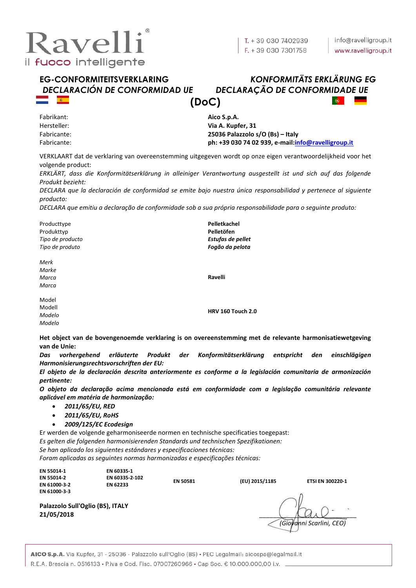

# *DECLARACIÓN DE CONFORMIDAD UE DECLARAÇÃO DE CONFORMIDADE UE*

# **EG-CONFORMITEITSVERKLARING** *KONFORMITÄTS ERKLÄRUNG EG* **(DoC)**

Fabrikant: Hersteller: Fabricante: Fabricante: **Aico S.p.A. Via A. Kupfer, 31 25036 Palazzolo s/O (Bs) – Italy ph: +39 030 74 02 939, e-mail[:info@ravelligroup.it](mailto:info@ravelligroup.it)**

VERKLAART dat de verklaring van overeenstemming uitgegeven wordt op onze eigen verantwoordelijkheid voor het volgende product:

*ERKLÄRT, dass die Konformitätserklärung in alleiniger Verantwortung ausgestellt ist und sich auf das folgende Produkt bezieht:*

*DECLARA que la declaración de conformidad se emite bajo nuestra única responsabilidad y pertenece al siguiente producto:*

*DECLARA que emitiu a declaração de conformidade sob a sua própria responsabilidade para o seguinte produto:*

Producttype Produkttyp *Tipo de producto Tipo de produto* **Pelletkachel Pelletöfen** *Estufas de pellet Fogão da pelota Merk Marke Marca Marca* **Ravelli** Model Modell *Modelo Modelo* **HRV 160 Touch 2.0**

**Het object van de bovengenoemde verklaring is on overeenstemming met de relevante harmonisatiewetgeving van de Unie:**

*Das vorhergehend erläuterte Produkt der Konformitätserklärung entspricht den einschlägigen Harmonisierungsrechtsvorschriften der EU:*

*El objeto de la declaración descrita anteriormente es conforme a la legislación comunitaria de armonización pertinente:*

*O objeto da declaração acima mencionada está em conformidade com a legislação comunitária relevante aplicável em matéria de harmonização:*

- *2011/65/EU, RED*
- *2011/65/EU, RoHS*
- *2009/125/EC Ecodesign*

Er werden de volgende geharmoniseerde normen en technische specificaties toegepast: *Es gelten die folgenden harmonisierenden Standards und technischen Spezifikationen:*

*Se han aplicado los siguientes estándares y especificaciones técnicas:*

*Foram aplicadas as seguintes normas harmonizadas e especificações técnicas:*

| EN 55014-1   | EN 60335-1      |
|--------------|-----------------|
| EN 55014-2   | EN 60335-2      |
| EN 61000-3-2 | <b>EN 62233</b> |
| EN 61000-3-3 |                 |

**EN 60335-2-102 EN 62233 EN 50581 (EU) 2015/1185 ETSI EN 300220-1**

**21/05/2018** \_\_\_\_\_\_\_\_\_\_\_\_\_\_\_\_\_\_\_\_\_\_\_\_\_\_\_\_ *(Giovanni Scarlini, CEO)*

**Palazzolo Sull'Oglio (BS), ITALY**

AICO S.p.A. Via Kupfer, 31 - 25036 - Palazzolo sull'Oglio (BS) · PEC Legalmail: aicospa@legalmail.it R.E.A. Brescia n. 0516133 • P.iva e Cod. Fisc. 07007260966 • Cap Soc. € 10.000.000,00 i.v.